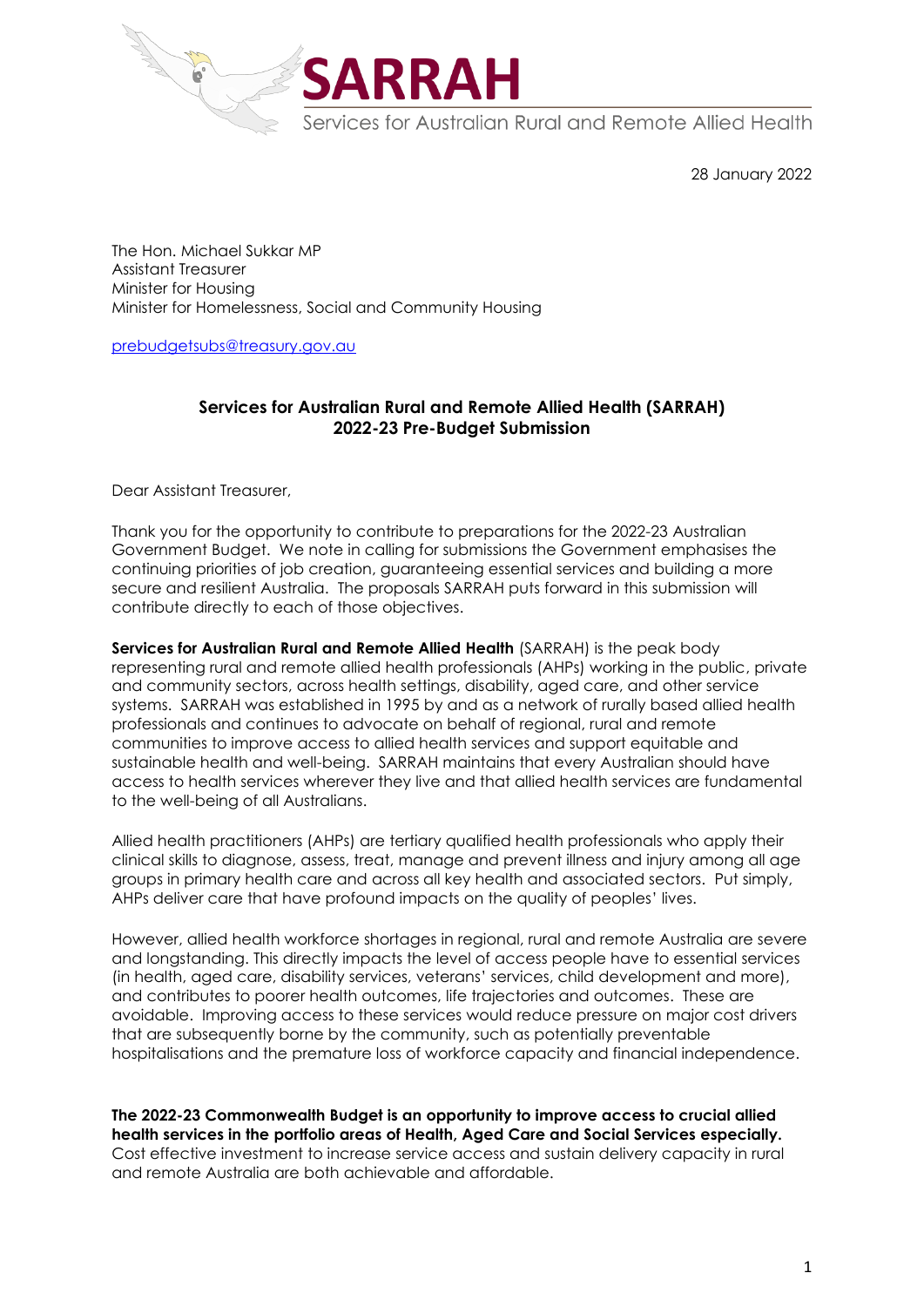

28 January 2022

The Hon. Michael Sukkar MP Assistant Treasurer Minister for Housing Minister for Homelessness, Social and Community Housing

[prebudgetsubs@treasury.gov.au](mailto:prebudgetsubs@treasury.gov.au)

### **Services for Australian Rural and Remote Allied Health (SARRAH) 2022-23 Pre-Budget Submission**

Dear Assistant Treasurer,

Thank you for the opportunity to contribute to preparations for the 2022-23 Australian Government Budget. We note in calling for submissions the Government emphasises the continuing priorities of job creation, guaranteeing essential services and building a more secure and resilient Australia. The proposals SARRAH puts forward in this submission will contribute directly to each of those objectives.

**Services for Australian Rural and Remote Allied Health** (SARRAH) is the peak body representing rural and remote allied health professionals (AHPs) working in the public, private and community sectors, across health settings, disability, aged care, and other service systems. SARRAH was established in 1995 by and as a network of rurally based allied health professionals and continues to advocate on behalf of regional, rural and remote communities to improve access to allied health services and support equitable and sustainable health and well-being. SARRAH maintains that every Australian should have access to health services wherever they live and that allied health services are fundamental to the well-being of all Australians.

Allied health practitioners (AHPs) are tertiary qualified health professionals who apply their clinical skills to diagnose, assess, treat, manage and prevent illness and injury among all age groups in primary health care and across all key health and associated sectors. Put simply, AHPs deliver care that have profound impacts on the quality of peoples' lives.

However, allied health workforce shortages in regional, rural and remote Australia are severe and longstanding. This directly impacts the level of access people have to essential services (in health, aged care, disability services, veterans' services, child development and more), and contributes to poorer health outcomes, life trajectories and outcomes. These are avoidable. Improving access to these services would reduce pressure on major cost drivers that are subsequently borne by the community, such as potentially preventable hospitalisations and the premature loss of workforce capacity and financial independence.

**The 2022-23 Commonwealth Budget is an opportunity to improve access to crucial allied health services in the portfolio areas of Health, Aged Care and Social Services especially.** Cost effective investment to increase service access and sustain delivery capacity in rural and remote Australia are both achievable and affordable.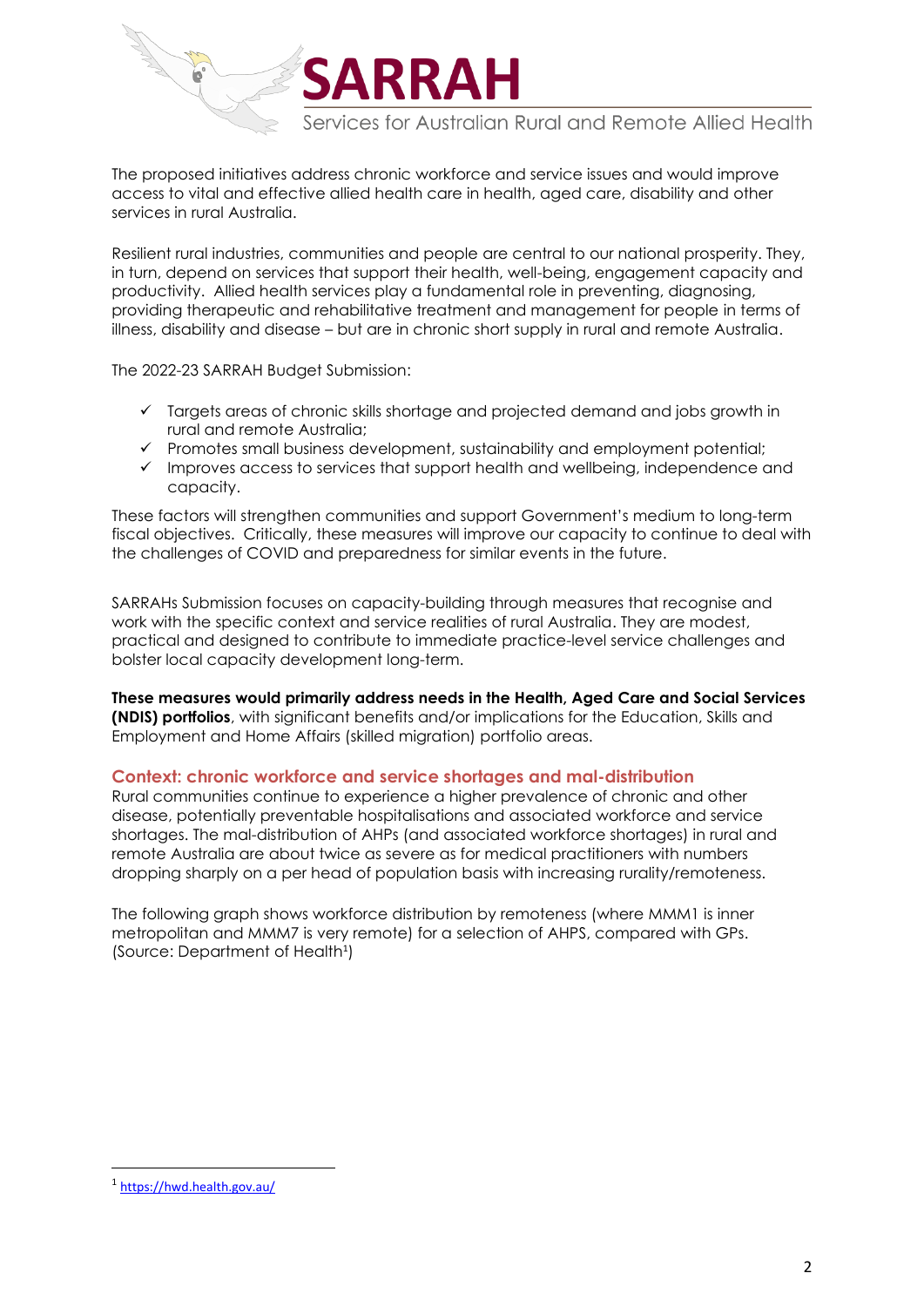

The proposed initiatives address chronic workforce and service issues and would improve access to vital and effective allied health care in health, aged care, disability and other services in rural Australia.

Resilient rural industries, communities and people are central to our national prosperity. They, in turn, depend on services that support their health, well-being, engagement capacity and productivity. Allied health services play a fundamental role in preventing, diagnosing, providing therapeutic and rehabilitative treatment and management for people in terms of illness, disability and disease – but are in chronic short supply in rural and remote Australia.

The 2022-23 SARRAH Budget Submission:

- ✓ Targets areas of chronic skills shortage and projected demand and jobs growth in rural and remote Australia;
- ✓ Promotes small business development, sustainability and employment potential;
- ✓ Improves access to services that support health and wellbeing, independence and capacity.

These factors will strengthen communities and support Government's medium to long-term fiscal objectives. Critically, these measures will improve our capacity to continue to deal with the challenges of COVID and preparedness for similar events in the future.

SARRAHs Submission focuses on capacity-building through measures that recognise and work with the specific context and service realities of rural Australia. They are modest, practical and designed to contribute to immediate practice-level service challenges and bolster local capacity development long-term.

**These measures would primarily address needs in the Health, Aged Care and Social Services (NDIS) portfolios**, with significant benefits and/or implications for the Education, Skills and Employment and Home Affairs (skilled migration) portfolio areas.

#### **Context: chronic workforce and service shortages and mal-distribution**

Rural communities continue to experience a higher prevalence of chronic and other disease, potentially preventable hospitalisations and associated workforce and service shortages. The mal-distribution of AHPs (and associated workforce shortages) in rural and remote Australia are about twice as severe as for medical practitioners with numbers dropping sharply on a per head of population basis with increasing rurality/remoteness.

The following graph shows workforce distribution by remoteness (where MMM1 is inner metropolitan and MMM7 is very remote) for a selection of AHPS, compared with GPs. (Source: Department of Health<sup>1</sup> )

<sup>1</sup> <https://hwd.health.gov.au/>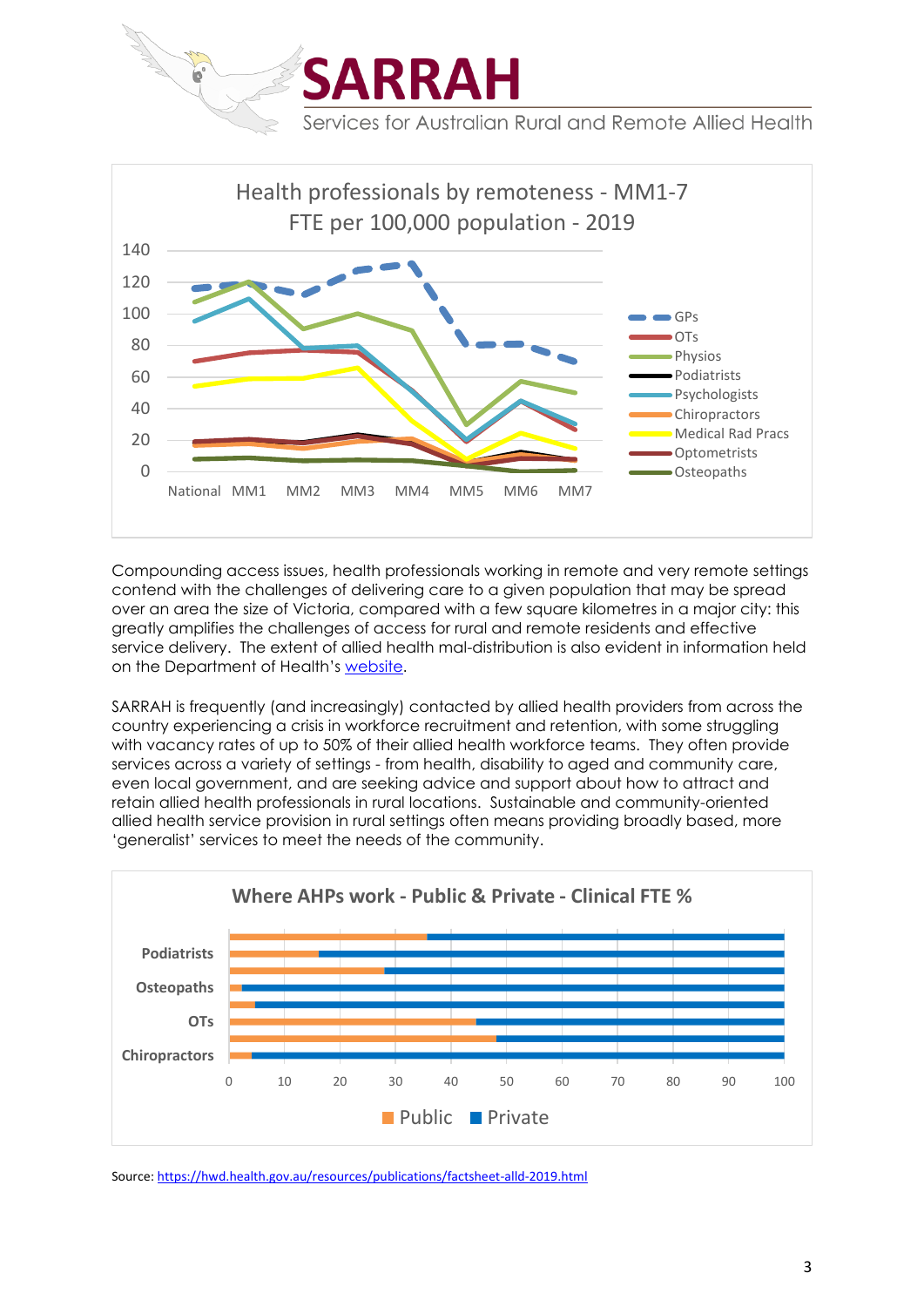



Compounding access issues, health professionals working in remote and very remote settings contend with the challenges of delivering care to a given population that may be spread over an area the size of Victoria, compared with a few square kilometres in a major city: this greatly amplifies the challenges of access for rural and remote residents and effective service delivery. The extent of allied health mal-distribution is also evident in information held on the Department of Health's [website](https://www.health.gov.au/health-topics/allied-health/in-australia#organisations).

SARRAH is frequently (and increasingly) contacted by allied health providers from across the country experiencing a crisis in workforce recruitment and retention, with some struggling with vacancy rates of up to 50% of their allied health workforce teams. They often provide services across a variety of settings - from health, disability to aged and community care, even local government, and are seeking advice and support about how to attract and retain allied health professionals in rural locations. Sustainable and community-oriented allied health service provision in rural settings often means providing broadly based, more 'generalist' services to meet the needs of the community.



Source[: https://hwd.health.gov.au/resources/publications/factsheet-alld-2019.html](https://hwd.health.gov.au/resources/publications/factsheet-alld-2019.html)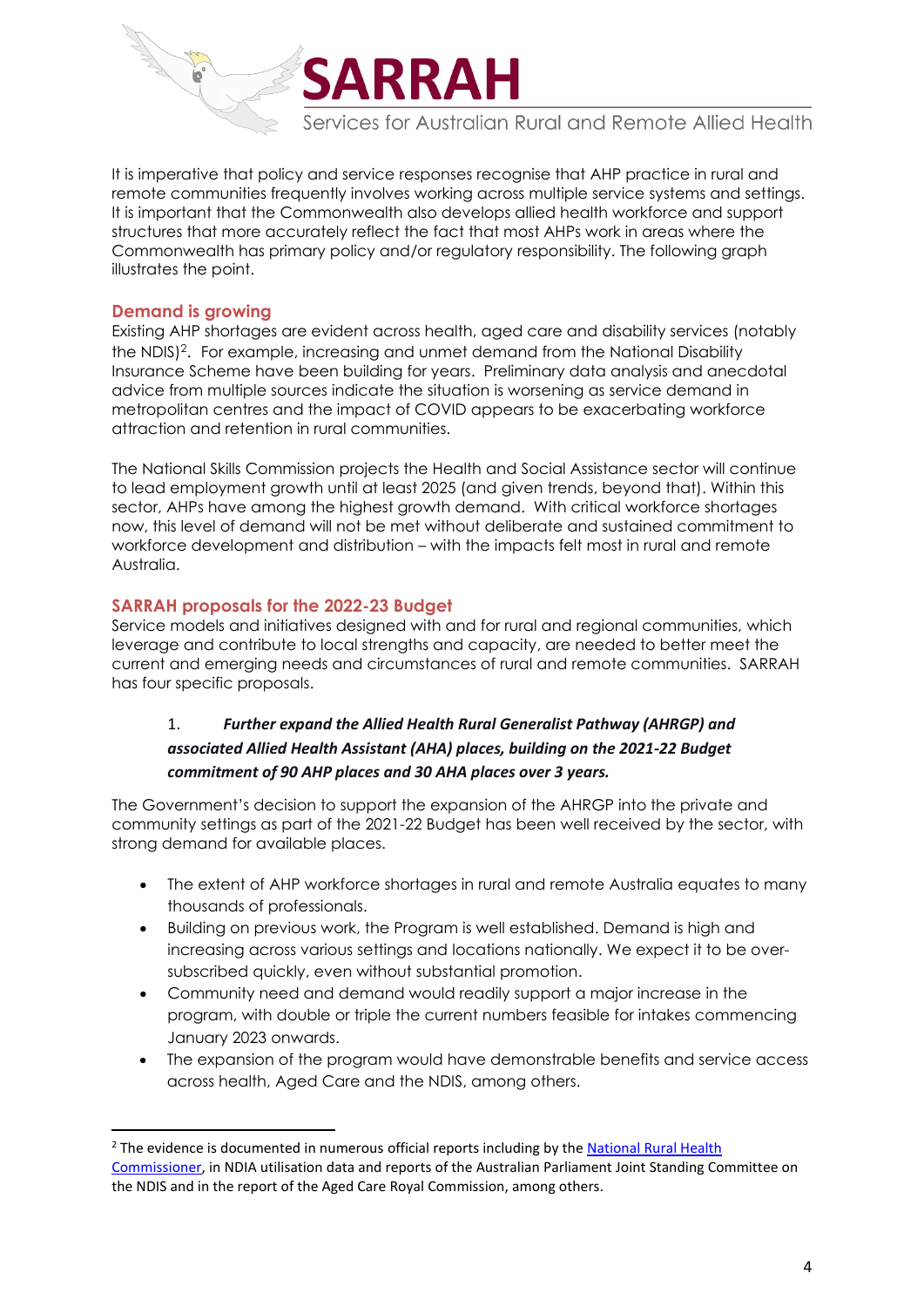

It is imperative that policy and service responses recognise that AHP practice in rural and remote communities frequently involves working across multiple service systems and settings. It is important that the Commonwealth also develops allied health workforce and support structures that more accurately reflect the fact that most AHPs work in areas where the Commonwealth has primary policy and/or regulatory responsibility. The following graph illustrates the point.

### **Demand is growing**

Existing AHP shortages are evident across health, aged care and disability services (notably the NDIS)<sup>2</sup>. For example, increasing and unmet demand from the National Disability Insurance Scheme have been building for years. Preliminary data analysis and anecdotal advice from multiple sources indicate the situation is worsening as service demand in metropolitan centres and the impact of COVID appears to be exacerbating workforce attraction and retention in rural communities.

The National Skills Commission projects the Health and Social Assistance sector will continue to lead employment growth until at least 2025 (and given trends, beyond that). Within this sector, AHPs have among the highest growth demand. With critical workforce shortages now, this level of demand will not be met without deliberate and sustained commitment to workforce development and distribution – with the impacts felt most in rural and remote Australia.

### **SARRAH proposals for the 2022-23 Budget**

Service models and initiatives designed with and for rural and regional communities, which leverage and contribute to local strengths and capacity, are needed to better meet the current and emerging needs and circumstances of rural and remote communities. SARRAH has four specific proposals.

# 1. *Further expand the Allied Health Rural Generalist Pathway (AHRGP) and associated Allied Health Assistant (AHA) places, building on the 2021-22 Budget commitment of 90 AHP places and 30 AHA places over 3 years.*

The Government's decision to support the expansion of the AHRGP into the private and community settings as part of the 2021-22 Budget has been well received by the sector, with strong demand for available places.

- The extent of AHP workforce shortages in rural and remote Australia equates to many thousands of professionals.
- Building on previous work, the Program is well established. Demand is high and increasing across various settings and locations nationally. We expect it to be oversubscribed quickly, even without substantial promotion.
- Community need and demand would readily support a major increase in the program, with double or triple the current numbers feasible for intakes commencing January 2023 onwards.
- The expansion of the program would have demonstrable benefits and service access across health, Aged Care and the NDIS, among others.

<sup>&</sup>lt;sup>2</sup> The evidence is documented in numerous official reports including by the National Rural Health [Commissioner,](https://www.health.gov.au/resources/publications/final-report-improvement-of-access-quality-and-distribution-of-allied-health-services-in-regional-rural-and-remote-australia) in NDIA utilisation data and reports of the Australian Parliament Joint Standing Committee on the NDIS and in the report of the Aged Care Royal Commission, among others.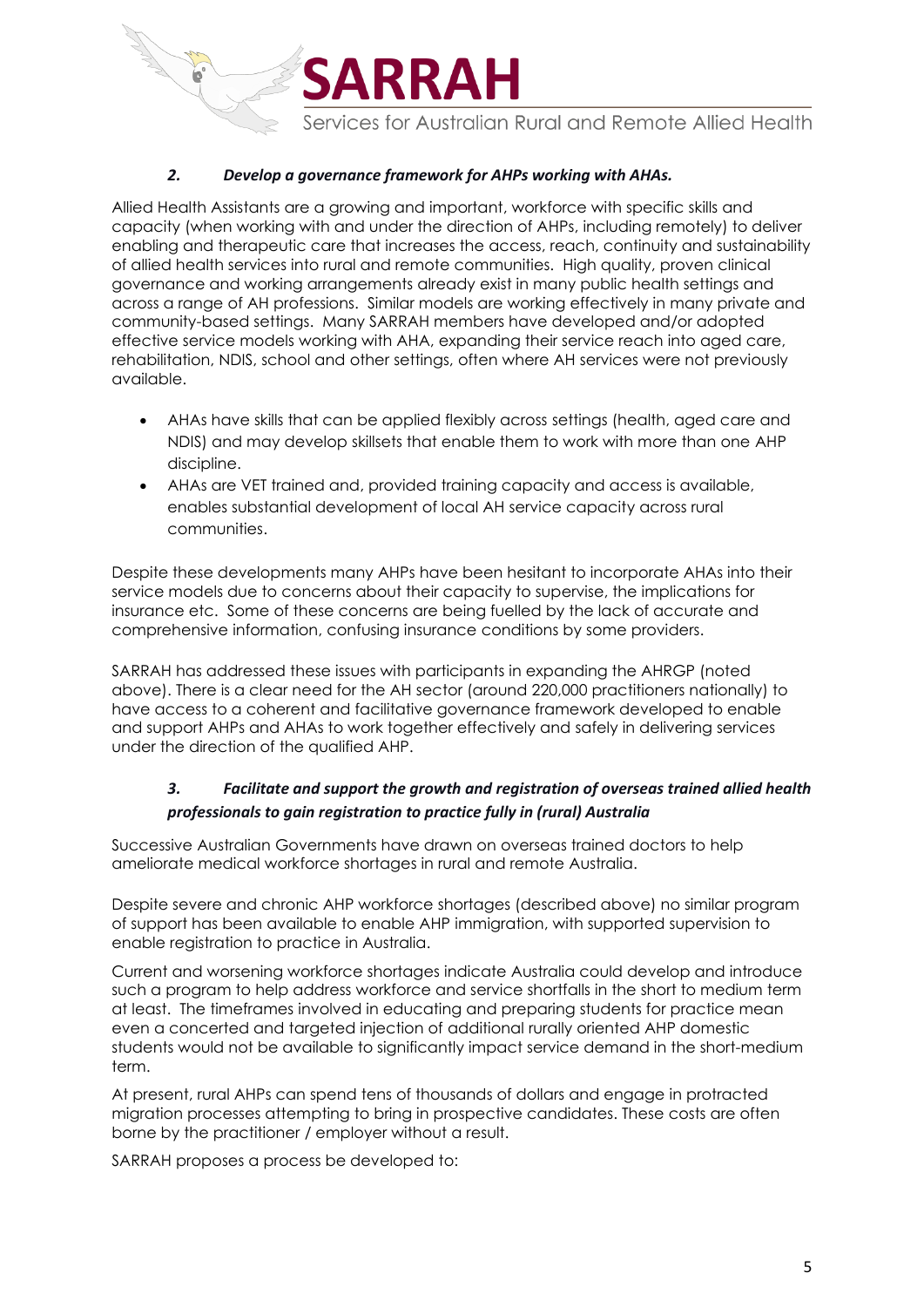

### *2. Develop a governance framework for AHPs working with AHAs.*

Allied Health Assistants are a growing and important, workforce with specific skills and capacity (when working with and under the direction of AHPs, including remotely) to deliver enabling and therapeutic care that increases the access, reach, continuity and sustainability of allied health services into rural and remote communities. High quality, proven clinical governance and working arrangements already exist in many public health settings and across a range of AH professions. Similar models are working effectively in many private and community-based settings. Many SARRAH members have developed and/or adopted effective service models working with AHA, expanding their service reach into aged care, rehabilitation, NDIS, school and other settings, often where AH services were not previously available.

- AHAs have skills that can be applied flexibly across settings (health, aged care and NDIS) and may develop skillsets that enable them to work with more than one AHP discipline.
- AHAs are VET trained and, provided training capacity and access is available, enables substantial development of local AH service capacity across rural communities.

Despite these developments many AHPs have been hesitant to incorporate AHAs into their service models due to concerns about their capacity to supervise, the implications for insurance etc. Some of these concerns are being fuelled by the lack of accurate and comprehensive information, confusing insurance conditions by some providers.

SARRAH has addressed these issues with participants in expanding the AHRGP (noted above). There is a clear need for the AH sector (around 220,000 practitioners nationally) to have access to a coherent and facilitative governance framework developed to enable and support AHPs and AHAs to work together effectively and safely in delivering services under the direction of the qualified AHP.

## *3. Facilitate and support the growth and registration of overseas trained allied health professionals to gain registration to practice fully in (rural) Australia*

Successive Australian Governments have drawn on overseas trained doctors to help ameliorate medical workforce shortages in rural and remote Australia.

Despite severe and chronic AHP workforce shortages (described above) no similar program of support has been available to enable AHP immigration, with supported supervision to enable registration to practice in Australia.

Current and worsening workforce shortages indicate Australia could develop and introduce such a program to help address workforce and service shortfalls in the short to medium term at least. The timeframes involved in educating and preparing students for practice mean even a concerted and targeted injection of additional rurally oriented AHP domestic students would not be available to significantly impact service demand in the short-medium term.

At present, rural AHPs can spend tens of thousands of dollars and engage in protracted migration processes attempting to bring in prospective candidates. These costs are often borne by the practitioner / employer without a result.

SARRAH proposes a process be developed to: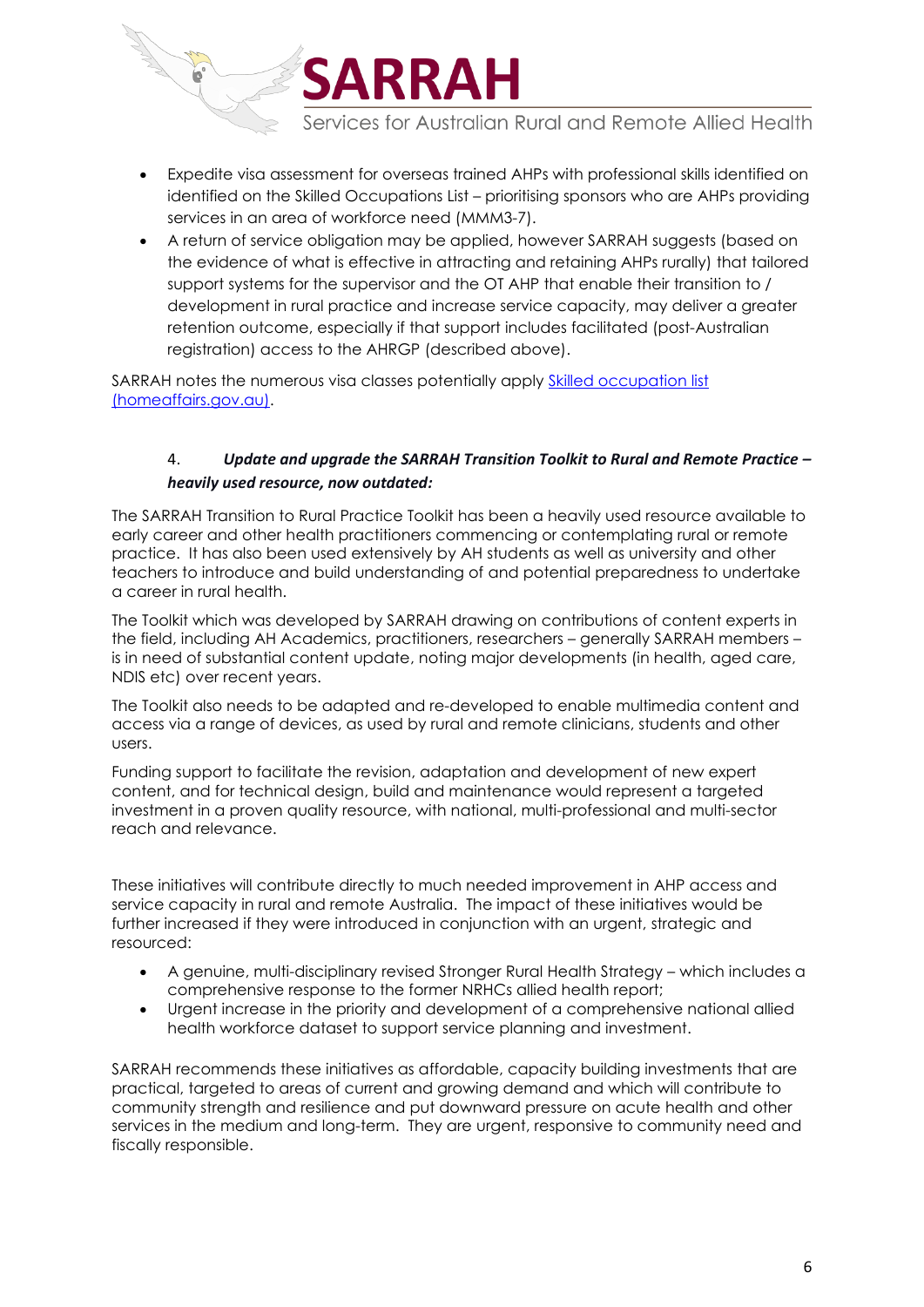

Services for Australian Rural and Remote Allied Health

- Expedite visa assessment for overseas trained AHPs with professional skills identified on identified on the Skilled Occupations List – prioritising sponsors who are AHPs providing services in an area of workforce need (MMM3-7).
- A return of service obligation may be applied, however SARRAH suggests (based on the evidence of what is effective in attracting and retaining AHPs rurally) that tailored support systems for the supervisor and the OT AHP that enable their transition to / development in rural practice and increase service capacity, may deliver a greater retention outcome, especially if that support includes facilitated (post-Australian registration) access to the AHRGP (described above).

SARRAH notes the numerous visa classes potentially apply **Skilled occupation list** [\(homeaffairs.gov.au\).](https://immi.homeaffairs.gov.au/visas/working-in-australia/skill-occupation-list)

## 4. *Update and upgrade the SARRAH Transition Toolkit to Rural and Remote Practice – heavily used resource, now outdated:*

The SARRAH Transition to Rural Practice Toolkit has been a heavily used resource available to early career and other health practitioners commencing or contemplating rural or remote practice. It has also been used extensively by AH students as well as university and other teachers to introduce and build understanding of and potential preparedness to undertake a career in rural health.

The Toolkit which was developed by SARRAH drawing on contributions of content experts in the field, including AH Academics, practitioners, researchers – generally SARRAH members – is in need of substantial content update, noting major developments (in health, aged care, NDIS etc) over recent years.

The Toolkit also needs to be adapted and re-developed to enable multimedia content and access via a range of devices, as used by rural and remote clinicians, students and other users.

Funding support to facilitate the revision, adaptation and development of new expert content, and for technical design, build and maintenance would represent a targeted investment in a proven quality resource, with national, multi-professional and multi-sector reach and relevance.

These initiatives will contribute directly to much needed improvement in AHP access and service capacity in rural and remote Australia. The impact of these initiatives would be further increased if they were introduced in conjunction with an urgent, strategic and resourced:

- A genuine, multi-disciplinary revised Stronger Rural Health Strategy which includes a comprehensive response to the former NRHCs allied health report;
- Urgent increase in the priority and development of a comprehensive national allied health workforce dataset to support service planning and investment.

SARRAH recommends these initiatives as affordable, capacity building investments that are practical, targeted to areas of current and growing demand and which will contribute to community strength and resilience and put downward pressure on acute health and other services in the medium and long-term. They are urgent, responsive to community need and fiscally responsible.